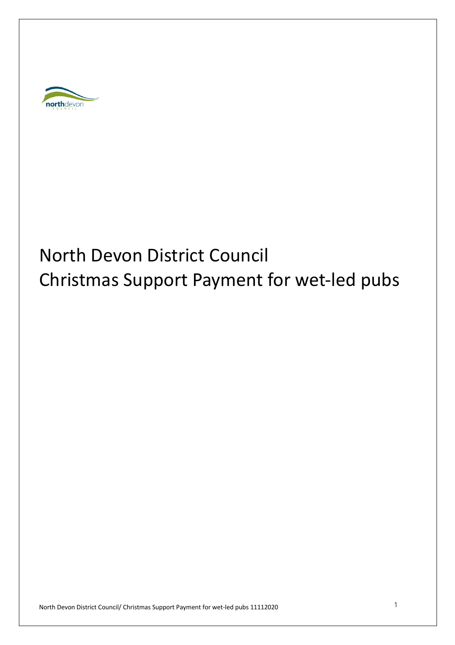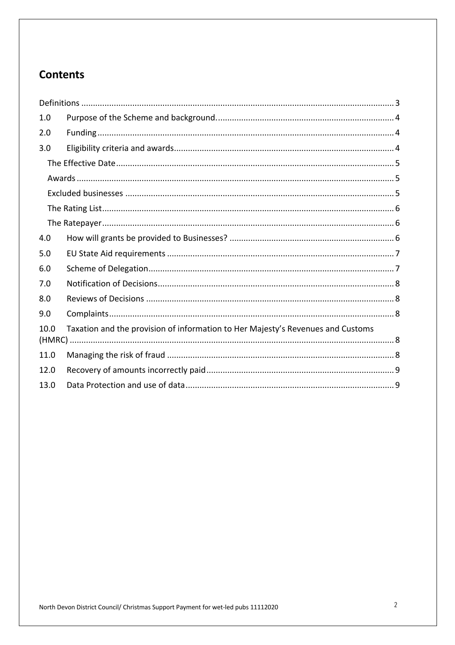# **Contents**

| 1.0  |                                                                                 |  |
|------|---------------------------------------------------------------------------------|--|
| 2.0  |                                                                                 |  |
| 3.0  |                                                                                 |  |
|      |                                                                                 |  |
|      |                                                                                 |  |
|      |                                                                                 |  |
|      |                                                                                 |  |
|      |                                                                                 |  |
| 4.0  |                                                                                 |  |
| 5.0  |                                                                                 |  |
| 6.0  |                                                                                 |  |
| 7.0  |                                                                                 |  |
| 8.0  |                                                                                 |  |
| 9.0  |                                                                                 |  |
| 10.0 | Taxation and the provision of information to Her Majesty's Revenues and Customs |  |
|      |                                                                                 |  |
| 11.0 |                                                                                 |  |
| 12.0 |                                                                                 |  |
| 13.0 |                                                                                 |  |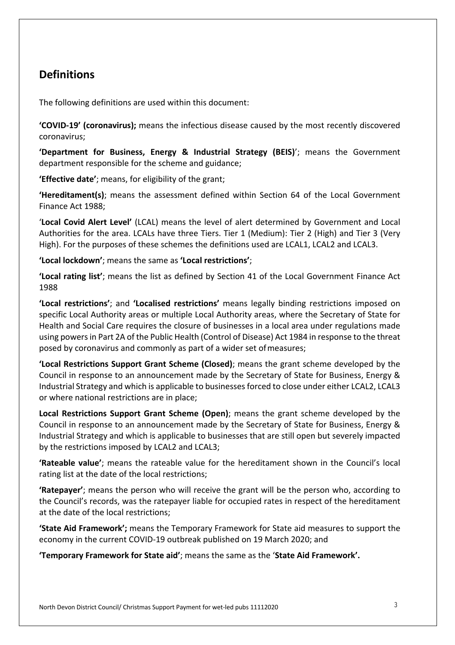## **Definitions**

The following definitions are used within this document:

**'COVID-19' (coronavirus);** means the infectious disease caused by the most recently discovered coronavirus;

**'Department for Business, Energy & Industrial Strategy (BEIS)**'; means the Government department responsible for the scheme and guidance;

**'Effective date'**; means, for eligibility of the grant;

**'Hereditament(s)**; means the assessment defined within Section 64 of the Local Government Finance Act 1988;

'**Local Covid Alert Level'** (LCAL) means the level of alert determined by Government and Local Authorities for the area. LCALs have three Tiers. Tier 1 (Medium): Tier 2 (High) and Tier 3 (Very High). For the purposes of these schemes the definitions used are LCAL1, LCAL2 and LCAL3.

**'Local lockdown'**; means the same as **'Local restrictions'**;

**'Local rating list'**; means the list as defined by Section 41 of the Local Government Finance Act 1988

**'Local restrictions'**; and **'Localised restrictions'** means legally binding restrictions imposed on specific Local Authority areas or multiple Local Authority areas, where the Secretary of State for Health and Social Care requires the closure of businesses in a local area under regulations made using powers in Part 2A of the Public Health (Control of Disease) Act 1984 in response to the threat posed by coronavirus and commonly as part of a wider set ofmeasures;

**'Local Restrictions Support Grant Scheme (Closed)**; means the grant scheme developed by the Council in response to an announcement made by the Secretary of State for Business, Energy & Industrial Strategy and which is applicable to businesses forced to close under either LCAL2, LCAL3 or where national restrictions are in place;

**Local Restrictions Support Grant Scheme (Open)**; means the grant scheme developed by the Council in response to an announcement made by the Secretary of State for Business, Energy & Industrial Strategy and which is applicable to businesses that are still open but severely impacted by the restrictions imposed by LCAL2 and LCAL3;

**'Rateable value'**; means the rateable value for the hereditament shown in the Council's local rating list at the date of the local restrictions;

**'Ratepayer'**; means the person who will receive the grant will be the person who, according to the Council's records, was the ratepayer liable for occupied rates in respect of the hereditament at the date of the local restrictions;

**'State Aid Framework';** means the Temporary Framework for State aid measures to support the economy in the current COVID-19 outbreak published on 19 March 2020; and

**'Temporary Framework for State aid'**; means the same as the ' **State Aid Framework' .**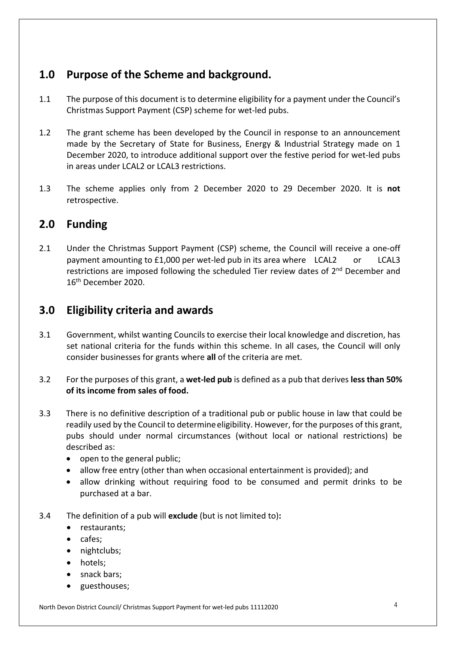## **1.0 Purpose of the Scheme and background.**

- 1.1 The purpose of this document is to determine eligibility for a payment under the Council's Christmas Support Payment (CSP) scheme for wet-led pubs.
- 1.2 The grant scheme has been developed by the Council in response to an announcement made by the Secretary of State for Business, Energy & Industrial Strategy made on 1 December 2020, to introduce additional support over the festive period for wet-led pubs in areas under LCAL2 or LCAL3 restrictions.
- 1.3 The scheme applies only from 2 December 2020 to 29 December 2020. It is **not**  retrospective.

### **2.0 Funding**

2.1 Under the Christmas Support Payment (CSP) scheme, the Council will receive a one-off payment amounting to £1, 000 per wet- led pub in its area where LCAL2 or LCAL3 restrictions are imposed following the scheduled Tier review dates of  $2<sup>nd</sup>$  December and 16th December 2020.

### **3.0 Eligibility criteria and awards**

- 3.1 Government, whilst wanting Councils to exercise their local knowledge and discretion, has set national criteria for the funds within this scheme. In all cases, the Council will only consider businesses for grants where **all** of the criteria are met.
- 3.2 For the purposes of this grant, a **wet-led pub** is defined as a pub that derives **less than 50% of its income from sales of food.**
- 3.3 There is no definitive description of a traditional pub or public house in law that could be readily used by the Council to determine eligibility. However, for the purposes of this grant, pubs should under normal circumstances (without local or national restrictions) be described as:
	- open to the general public;
	- allow free entry (other than when occasional entertainment is provided); and
	- allow drinking without requiring food to be consumed and permit drinks to be purchased at a bar.
- 3.4 The definition of a pub will **exclude** (but is not limited to) **:** 
	- restaurants;
	- cafes;
	- nightclubs;
	- hotels;
	- snack bars;
	- guesthouses;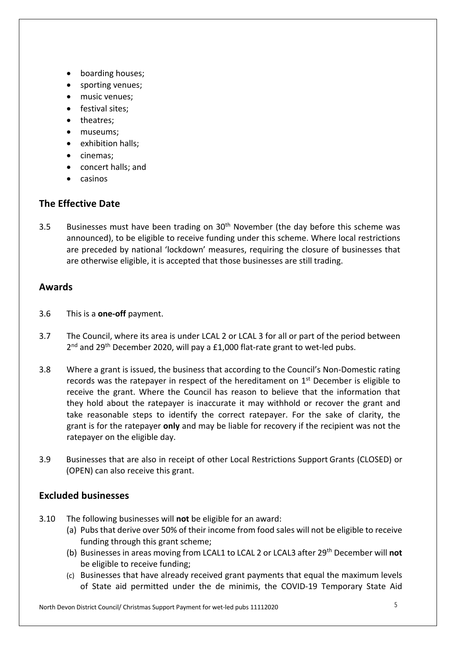- boarding houses;
- sporting venues;
- music venues;
- festival sites;
- theatres;
- museums;
- exhibition halls;
- cinemas;
- concert halls; and
- casinos

#### **The Effective Date**

3.5 Businesses must have been trading on  $30<sup>th</sup>$  November (the day before this scheme was announced), to be eligible to receive funding under this scheme. Where local restrictions are preceded by national 'lockdown' measures, requiring the closure of businesses that are otherwise eligible, it is accepted that those businesses are still trading.

#### **Awards**

- 3.6 This is a **one-off** payment.
- 3.7 The Council, where its area is under LCAL 2 or LCAL 3 for all or part of the period between 2<sup>nd</sup> and 29<sup>th</sup> December 2020, will pay a £1,000 flat-rate grant to wet-led pubs.
- 3.8 Where a grant is issued, the business that according to the Council's Non-Domestic rating records was the ratepayer in respect of the hereditament on  $1<sup>st</sup>$  December is eligible to receive the grant. Where the Council has reason to believe that the information that they hold about the ratepayer is inaccurate it may withhold or recover the grant and take reasonable steps to identify the correct ratepayer. For the sake of clarity, the grant is for the ratepayer **only** and may be liable for recovery if the recipient was not the ratepayer on the eligible day.
- 3.9 Businesses that are also in receipt of other Local Restrictions Support Grants (CLOSED) or (OPEN) can also receive this grant.

#### **Excluded businesses**

- 3.10 The following businesses will **not** be eligible for an award:
	- (a) Pubs that derive over 50% of their income from food sales will not be eligible to receive funding through this grant scheme;
	- (b) Businesses in areas moving from LCAL1 to LCAL 2 or LCAL3 after 29th December will **not**  be eligible to receive funding;
	- (c) Businesses that have already received grant payments that equal the maximum levels of State aid permitted under the de minimis, the COVID-19 Temporary State Aid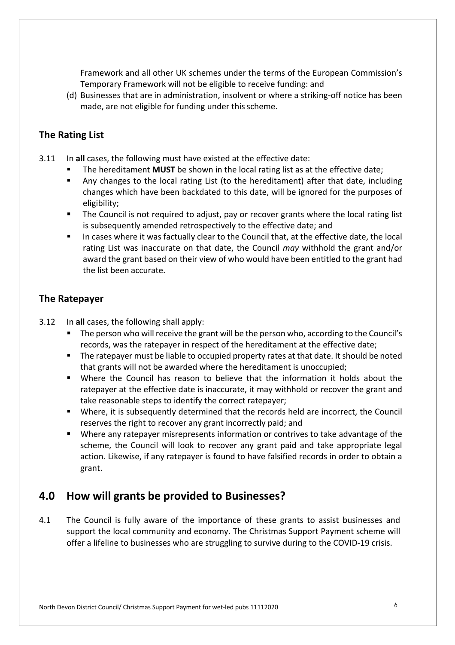Framework and all other UK schemes under the terms of the European Commission's Temporary Framework will not be eligible to receive funding: and

(d) Businesses that are in administration, insolvent or where a striking-off notice has been made, are not eligible for funding under this scheme.

#### **The Rating List**

- 3.11 In **all** cases, the following must have existed at the effective date:
	- The hereditament **MUST** be shown in the local rating list as at the effective date;
	- Any changes to the local rating List (to the hereditament) after that date, including changes which have been backdated to this date, will be ignored for the purposes of eligibility;
	- The Council is not required to adjust, pay or recover grants where the local rating list is subsequently amended retrospectively to the effective date; and
	- In cases where it was factually clear to the Council that, at the effective date, the local rating List was inaccurate on that date, the Council *may* withhold the grant and/or award the grant based on their view of who would have been entitled to the grant had the list been accurate.

#### **The Ratepayer**

- 3.12 In **all** cases, the following shall apply:
	- The person who will receive the grant will be the person who, according to the Council's records, was the ratepayer in respect of the hereditament at the effective date;
	- The ratepayer must be liable to occupied property rates at that date. It should be noted that grants will not be awarded where the hereditament is unoccupied;
	- Where the Council has reason to believe that the information it holds about the ratepayer at the effective date is inaccurate, it may withhold or recover the grant and take reasonable steps to identify the correct ratepayer;
	- Where, it is subsequently determined that the records held are incorrect, the Council reserves the right to recover any grant incorrectly paid; and
	- Where any ratepayer misrepresents information or contrives to take advantage of the scheme, the Council will look to recover any grant paid and take appropriate legal action. Likewise, if any ratepayer is found to have falsified records in order to obtain a grant.

#### **4.0 How will grants be provided to Businesses?**

4.1 The Council is fully aware of the importance of these grants to assist businesses and support the local community and economy. The Christmas Support Payment scheme will offer a lifeline to businesses who are struggling to survive during to the COVID-19 crisis.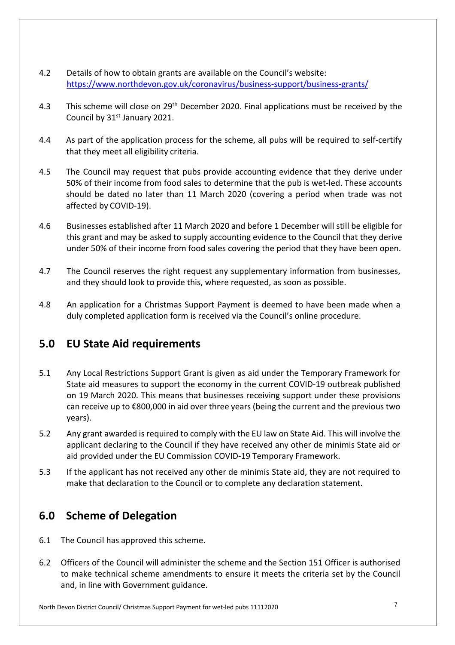- 4.2 Details of how to obtain grants are available on the Council's website: <https://www.northdevon.gov.uk/coronavirus/business-support/business-grants>/
- 4.3 This scheme will close on 29<sup>th</sup> December 2020. Final applications must be received by the Council by 31<sup>st</sup> January 2021.
- 4.4 As part of the application process for the scheme, all pubs will be required to self-certify that they meet all eligibility criteria.
- 4.5 The Council may request that pubs provide accounting evidence that they derive under 50% of their income from food sales to determine that the pub is wet-led. These accounts should be dated no later than 11 March 2020 (covering a period when trade was not affected by COVID-19).
- 4.6 Businesses established after 11 March 2020 and before 1 December will still be eligible for this grant and may be asked to supply accounting evidence to the Council that they derive under 50% of their income from food sales covering the period that they have been open.
- 4.7 The Council reserves the right request any supplementary information from businesses, and they should look to provide this, where requested, as soon as possible.
- 4.8 An application for a Christmas Support Payment is deemed to have been made when a duly completed application form is received via the Council' s online procedure.

## **5.0 EU State Aid requirements**

- 5.1 Any Local Restrictions Support Grant is given as aid under the Temporary Framework for State aid measures to support the economy in the current COVID-19 outbreak published on 19 March 2020. This means that businesses receiving support under these provisions can receive up to €800,000 in aid over three years (being the current and the previous two years).
- 5.2 Any grant awarded is required to comply with the EU law on State Aid. This will involve the applicant declaring to the Council if they have received any other de minimis State aid or aid provided under the EU Commission COVID-19 Temporary Framework.
- 5.3 If the applicant has not received any other de minimis State aid, they are not required to make that declaration to the Council or to complete any declaration statement.

## **6.0 Scheme of Delegation**

- 6.1 The Council has approved this scheme.
- 6.2 Officers of the Council will administer the scheme and the Section 151 Officer is authorised to make technical scheme amendments to ensure it meets the criteria set by the Council and, in line with Government guidance.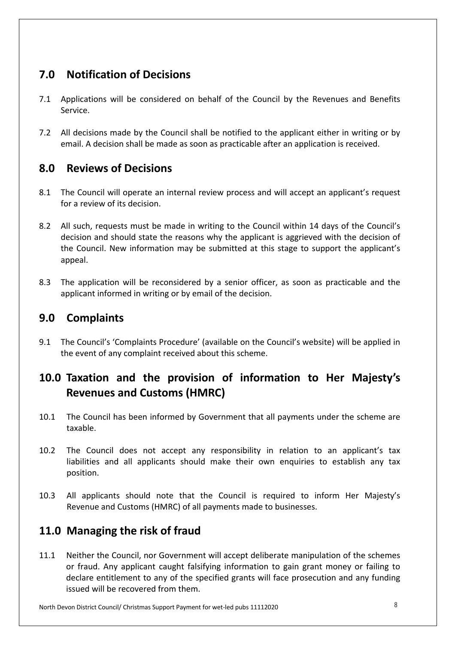# **7.0 Notification of Decisions**

- 7.1 Applications will be considered on behalf of the Council by the Revenues and Benefits Service.
- 7.2 All decisions made by the Council shall be notified to the applicant either in writing or by email. A decision shall be made as soon as practicable after an application is received.

## **8.0 Reviews of Decisions**

- 8.1 The Council will operate an internal review process and will accept an applicant's request for a review of its decision.
- 8.2 All such, requests must be made in writing to the Council within 14 days of the Council's decision and should state the reasons why the applicant is aggrieved with the decision of the Council. New information may be submitted at this stage to support the applicant's appeal.
- 8.3 The application will be reconsidered by a senior officer, as soon as practicable and the applicant informed in writing or by email of the decision.

## **9.0 Complaints**

9.1 The Council's 'Complaints Procedure' (available on the Council's website) will be applied in the event of any complaint received about this scheme.

# **10.0 Taxation and the provision of information to Her Majesty's Revenues and Customs (HMRC)**

- 10.1 The Council has been informed by Government that all payments under the scheme are taxable.
- 10.2 The Council does not accept any responsibility in relation to an applicant's tax liabilities and all applicants should make their own enquiries to establish any tax position.
- 10.3 All applicants should note that the Council is required to inform Her Majesty's Revenue and Customs (HMRC) of all payments made to businesses.

# **11.0 Managing the risk of fraud**

11.1 Neither the Council, nor Government will accept deliberate manipulation of the schemes or fraud. Any applicant caught falsifying information to gain grant money or failing to declare entitlement to any of the specified grants will face prosecution and any funding issued will be recovered from them.